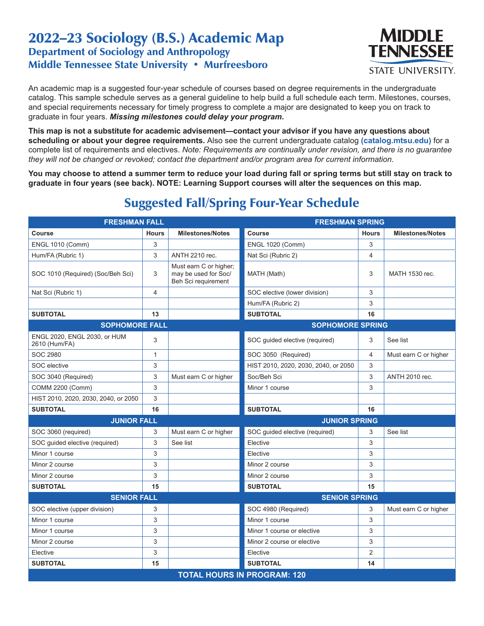## 2022–23 Sociology (B.S.) Academic Map Department of Sociology and Anthropology Middle Tennessee State University • Murfreesboro



An academic map is a suggested four-year schedule of courses based on degree requirements in the undergraduate catalog. This sample schedule serves as a general guideline to help build a full schedule each term. Milestones, courses, and special requirements necessary for timely progress to complete a major are designated to keep you on track to graduate in four years. *Missing milestones could delay your program.*

**This map is not a substitute for academic advisement—contact your advisor if you have any questions about scheduling or about your degree requirements.** Also see the current undergraduate catalog **(catalog.mtsu.edu)** for a complete list of requirements and electives. *Note: Requirements are continually under revision, and there is no guarantee they will not be changed or revoked; contact the department and/or program area for current information.*

**You may choose to attend a summer term to reduce your load during fall or spring terms but still stay on track to graduate in four years (see back). NOTE: Learning Support courses will alter the sequences on this map.**

| <b>FRESHMAN FALL</b>                          |                                    |                                                                       | <b>FRESHMAN SPRING</b>               |                |                         |  |  |  |
|-----------------------------------------------|------------------------------------|-----------------------------------------------------------------------|--------------------------------------|----------------|-------------------------|--|--|--|
| <b>Course</b>                                 | <b>Hours</b>                       | <b>Milestones/Notes</b>                                               | Course                               | <b>Hours</b>   | <b>Milestones/Notes</b> |  |  |  |
| <b>ENGL 1010 (Comm)</b>                       | 3                                  |                                                                       | <b>ENGL 1020 (Comm)</b>              | 3              |                         |  |  |  |
| Hum/FA (Rubric 1)                             | 3                                  | ANTH 2210 rec.                                                        | Nat Sci (Rubric 2)                   | $\overline{4}$ |                         |  |  |  |
| SOC 1010 (Required) (Soc/Beh Sci)             | 3                                  | Must earn C or higher;<br>may be used for Soc/<br>Beh Sci requirement | MATH (Math)                          | 3              | MATH 1530 rec.          |  |  |  |
| Nat Sci (Rubric 1)                            | $\overline{4}$                     |                                                                       | SOC elective (lower division)        | 3              |                         |  |  |  |
|                                               |                                    |                                                                       | Hum/FA (Rubric 2)                    | 3              |                         |  |  |  |
| <b>SUBTOTAL</b>                               | 13                                 |                                                                       | <b>SUBTOTAL</b>                      | 16             |                         |  |  |  |
| <b>SOPHOMORE FALL</b>                         |                                    |                                                                       | <b>SOPHOMORE SPRING</b>              |                |                         |  |  |  |
| ENGL 2020, ENGL 2030, or HUM<br>2610 (Hum/FA) | 3                                  |                                                                       | SOC guided elective (required)       | 3              | See list                |  |  |  |
| <b>SOC 2980</b>                               | 1                                  |                                                                       | SOC 3050 (Required)                  | 4              | Must earn C or higher   |  |  |  |
| <b>SOC</b> elective                           | 3                                  |                                                                       | HIST 2010, 2020, 2030, 2040, or 2050 | 3              |                         |  |  |  |
| SOC 3040 (Required)                           | 3                                  | Must earn C or higher                                                 | Soc/Beh Sci                          | 3              | ANTH 2010 rec.          |  |  |  |
| COMM 2200 (Comm)                              | 3                                  |                                                                       | Minor 1 course                       | 3              |                         |  |  |  |
| HIST 2010, 2020, 2030, 2040, or 2050          | 3                                  |                                                                       |                                      |                |                         |  |  |  |
| <b>SUBTOTAL</b>                               | 16                                 |                                                                       | <b>SUBTOTAL</b>                      | 16             |                         |  |  |  |
| <b>JUNIOR FALL</b>                            |                                    |                                                                       | <b>JUNIOR SPRING</b>                 |                |                         |  |  |  |
| SOC 3060 (required)                           | 3                                  | Must earn C or higher                                                 | SOC quided elective (required)       | 3              | See list                |  |  |  |
| SOC quided elective (required)                | 3                                  | See list                                                              | Elective                             | 3              |                         |  |  |  |
| Minor 1 course                                | 3                                  |                                                                       | Elective                             | 3              |                         |  |  |  |
| Minor 2 course                                | 3                                  |                                                                       | Minor 2 course                       | 3              |                         |  |  |  |
| Minor 2 course                                | 3                                  |                                                                       | Minor 2 course                       | 3              |                         |  |  |  |
| <b>SUBTOTAL</b>                               | 15                                 |                                                                       | <b>SUBTOTAL</b>                      | 15             |                         |  |  |  |
| <b>SENIOR FALL</b>                            |                                    |                                                                       | <b>SENIOR SPRING</b>                 |                |                         |  |  |  |
| SOC elective (upper division)                 | 3                                  |                                                                       | SOC 4980 (Required)                  | 3              | Must earn C or higher   |  |  |  |
| Minor 1 course                                | 3                                  |                                                                       | Minor 1 course                       | 3              |                         |  |  |  |
| Minor 1 course                                | 3                                  |                                                                       | Minor 1 course or elective           | 3              |                         |  |  |  |
| Minor 2 course                                | 3                                  |                                                                       | Minor 2 course or elective           | 3              |                         |  |  |  |
| Elective                                      | 3                                  |                                                                       | Elective                             | $\overline{2}$ |                         |  |  |  |
| <b>SUBTOTAL</b>                               | 15                                 |                                                                       | <b>SUBTOTAL</b>                      | 14             |                         |  |  |  |
|                                               | <b>TOTAL HOURS IN PROGRAM: 120</b> |                                                                       |                                      |                |                         |  |  |  |

## Suggested Fall/Spring Four-Year Schedule